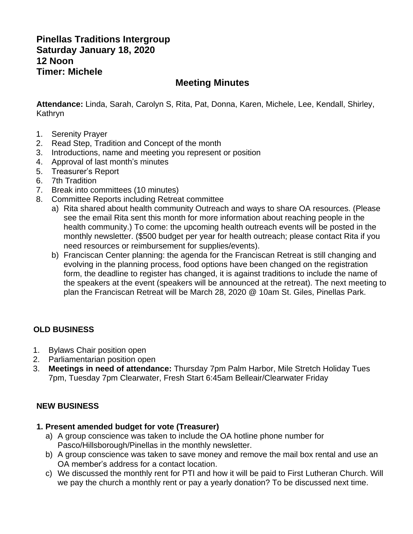# **Pinellas Traditions Intergroup Saturday January 18, 2020 12 Noon Timer: Michele**

# **Meeting Minutes**

**Attendance:** Linda, Sarah, Carolyn S, Rita, Pat, Donna, Karen, Michele, Lee, Kendall, Shirley, Kathryn

- 1. Serenity Prayer
- 2. Read Step, Tradition and Concept of the month
- 3. Introductions, name and meeting you represent or position
- 4. Approval of last month's minutes
- 5. Treasurer's Report
- 6. 7th Tradition
- 7. Break into committees (10 minutes)
- 8. Committee Reports including Retreat committee
	- a) Rita shared about health community Outreach and ways to share OA resources. (Please see the email Rita sent this month for more information about reaching people in the health community.) To come: the upcoming health outreach events will be posted in the monthly newsletter. (\$500 budget per year for health outreach; please contact Rita if you need resources or reimbursement for supplies/events).
	- b) Franciscan Center planning: the agenda for the Franciscan Retreat is still changing and evolving in the planning process, food options have been changed on the registration form, the deadline to register has changed, it is against traditions to include the name of the speakers at the event (speakers will be announced at the retreat). The next meeting to plan the Franciscan Retreat will be March 28, 2020 @ 10am St. Giles, Pinellas Park.

### **OLD BUSINESS**

- 1. Bylaws Chair position open
- 2. Parliamentarian position open
- 3. **Meetings in need of attendance:** Thursday 7pm Palm Harbor, Mile Stretch Holiday Tues 7pm, Tuesday 7pm Clearwater, Fresh Start 6:45am Belleair/Clearwater Friday

### **NEW BUSINESS**

#### **1. Present amended budget for vote (Treasurer)**

- a) A group conscience was taken to include the OA hotline phone number for Pasco/Hillsborough/Pinellas in the monthly newsletter.
- b) A group conscience was taken to save money and remove the mail box rental and use an OA member's address for a contact location.
- c) We discussed the monthly rent for PTI and how it will be paid to First Lutheran Church. Will we pay the church a monthly rent or pay a yearly donation? To be discussed next time.